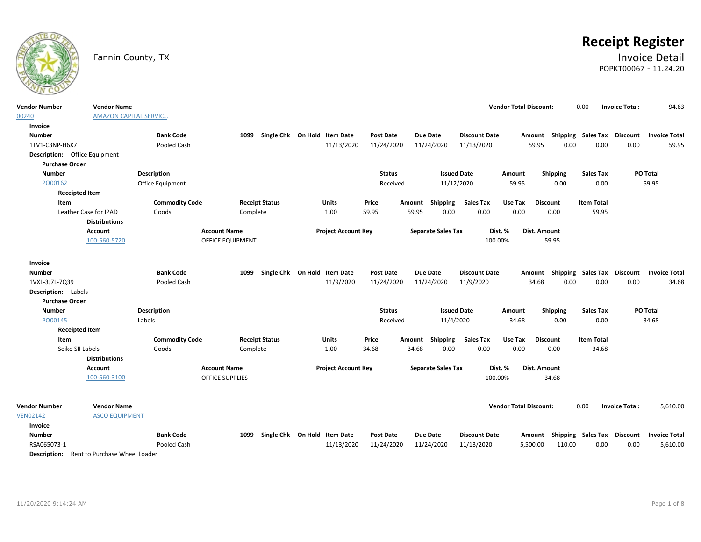

# **Receipt Register**

### Fannin County, TX **Invoice Detail** POPKT00067 - 11.24.20

| <b>Vendor Number</b><br>00240                     | <b>Vendor Name</b><br><b>AMAZON CAPITAL SERVIC</b> |                       |                         |                              |                            |                  |       |                           |                      | <b>Vendor Total Discount:</b> |                 | 0.00                        |                   | <b>Invoice Total:</b> | 94.63                |
|---------------------------------------------------|----------------------------------------------------|-----------------------|-------------------------|------------------------------|----------------------------|------------------|-------|---------------------------|----------------------|-------------------------------|-----------------|-----------------------------|-------------------|-----------------------|----------------------|
| Invoice                                           |                                                    |                       |                         |                              |                            |                  |       |                           |                      |                               |                 |                             |                   |                       |                      |
| <b>Number</b>                                     |                                                    | <b>Bank Code</b>      | 1099                    | Single Chk On Hold Item Date |                            | Post Date        |       | <b>Due Date</b>           | <b>Discount Date</b> |                               | Amount          | Shipping Sales Tax Discount |                   |                       | <b>Invoice Total</b> |
| 1TV1-C3NP-H6X7                                    |                                                    | Pooled Cash           |                         |                              | 11/13/2020                 | 11/24/2020       |       | 11/24/2020                | 11/13/2020           |                               | 59.95           | 0.00                        | 0.00              | 0.00                  | 59.95                |
| Description: Office Equipment                     |                                                    |                       |                         |                              |                            |                  |       |                           |                      |                               |                 |                             |                   |                       |                      |
| <b>Purchase Order</b>                             |                                                    |                       |                         |                              |                            |                  |       |                           |                      |                               |                 |                             |                   |                       |                      |
| <b>Number</b>                                     |                                                    | <b>Description</b>    |                         |                              |                            | <b>Status</b>    |       |                           | <b>Issued Date</b>   | Amount                        | <b>Shipping</b> |                             | <b>Sales Tax</b>  |                       | PO Total             |
| PO00162                                           |                                                    | Office Equipment      |                         |                              |                            | Received         |       | 11/12/2020                |                      | 59.95                         | 0.00            |                             | 0.00              |                       | 59.95                |
| <b>Receipted Item</b>                             |                                                    |                       |                         |                              |                            |                  |       |                           |                      |                               |                 |                             |                   |                       |                      |
| Item                                              |                                                    | <b>Commodity Code</b> | <b>Receipt Status</b>   |                              | Units                      | Price            |       | Amount Shipping           | <b>Sales Tax</b>     | Use Tax                       | <b>Discount</b> |                             | <b>Item Total</b> |                       |                      |
|                                                   | Leather Case for IPAD<br><b>Distributions</b>      | Goods                 | Complete                |                              | 1.00                       | 59.95            | 59.95 | 0.00                      | 0.00                 | 0.00                          | 0.00            |                             | 59.95             |                       |                      |
|                                                   | <b>Account</b>                                     |                       | <b>Account Name</b>     |                              | <b>Project Account Key</b> |                  |       | <b>Separate Sales Tax</b> | Dist. %              |                               | Dist. Amount    |                             |                   |                       |                      |
|                                                   | 100-560-5720                                       |                       | <b>OFFICE EQUIPMENT</b> |                              |                            |                  |       |                           | 100.00%              |                               | 59.95           |                             |                   |                       |                      |
| Invoice                                           |                                                    |                       |                         |                              |                            |                  |       |                           |                      |                               |                 |                             |                   |                       |                      |
| <b>Number</b>                                     |                                                    | <b>Bank Code</b>      | 1099                    | Single Chk On Hold Item Date |                            | <b>Post Date</b> |       | <b>Due Date</b>           | <b>Discount Date</b> |                               | Amount          | <b>Shipping Sales Tax</b>   |                   | <b>Discount</b>       | <b>Invoice Total</b> |
| 1VXL-3J7L-7Q39                                    |                                                    | Pooled Cash           |                         |                              | 11/9/2020                  | 11/24/2020       |       | 11/24/2020                | 11/9/2020            |                               | 34.68           | 0.00                        | 0.00              | 0.00                  | 34.68                |
| <b>Description:</b> Labels                        |                                                    |                       |                         |                              |                            |                  |       |                           |                      |                               |                 |                             |                   |                       |                      |
| <b>Purchase Order</b>                             |                                                    |                       |                         |                              |                            |                  |       |                           |                      |                               |                 |                             |                   |                       |                      |
| <b>Number</b>                                     |                                                    | <b>Description</b>    |                         |                              |                            | <b>Status</b>    |       |                           | <b>Issued Date</b>   | Amount                        | <b>Shipping</b> |                             | <b>Sales Tax</b>  |                       | PO Total             |
| PO00145                                           |                                                    | Labels                |                         |                              |                            | Received         |       | 11/4/2020                 |                      | 34.68                         | 0.00            |                             | 0.00              |                       | 34.68                |
| <b>Receipted Item</b>                             |                                                    |                       |                         |                              |                            |                  |       |                           |                      |                               |                 |                             |                   |                       |                      |
| Item                                              |                                                    | <b>Commodity Code</b> | <b>Receipt Status</b>   |                              | Units                      | Price            |       | Amount Shipping           | <b>Sales Tax</b>     | Use Tax                       | <b>Discount</b> |                             | <b>Item Total</b> |                       |                      |
| Seiko SII Labels                                  |                                                    | Goods                 | Complete                |                              | 1.00                       | 34.68            | 34.68 | 0.00                      | 0.00                 | 0.00                          | 0.00            |                             | 34.68             |                       |                      |
|                                                   | <b>Distributions</b>                               |                       |                         |                              |                            |                  |       |                           |                      |                               |                 |                             |                   |                       |                      |
|                                                   | Account                                            |                       | <b>Account Name</b>     |                              | <b>Project Account Key</b> |                  |       | <b>Separate Sales Tax</b> | Dist. %              |                               | Dist. Amount    |                             |                   |                       |                      |
|                                                   | 100-560-3100                                       |                       | <b>OFFICE SUPPLIES</b>  |                              |                            |                  |       |                           | 100.00%              |                               | 34.68           |                             |                   |                       |                      |
|                                                   |                                                    |                       |                         |                              |                            |                  |       |                           |                      |                               |                 |                             |                   |                       |                      |
| <b>Vendor Number</b>                              | <b>Vendor Name</b>                                 |                       |                         |                              |                            |                  |       |                           |                      | <b>Vendor Total Discount:</b> |                 | 0.00                        |                   | <b>Invoice Total:</b> | 5,610.00             |
| <b>VEN02142</b>                                   | <b>ASCO EQUIPMENT</b>                              |                       |                         |                              |                            |                  |       |                           |                      |                               |                 |                             |                   |                       |                      |
| Invoice                                           |                                                    |                       |                         |                              |                            |                  |       |                           |                      |                               |                 |                             |                   |                       |                      |
| <b>Number</b>                                     |                                                    | <b>Bank Code</b>      | 1099                    | Single Chk On Hold Item Date |                            | <b>Post Date</b> |       | <b>Due Date</b>           | <b>Discount Date</b> |                               | Amount          | Shipping Sales Tax Discount |                   |                       | <b>Invoice Total</b> |
| RSA065073-1                                       |                                                    | Pooled Cash           |                         |                              | 11/13/2020                 | 11/24/2020       |       | 11/24/2020                | 11/13/2020           |                               | 5,500.00        | 110.00                      | 0.00              | 0.00                  | 5,610.00             |
| <b>Description:</b> Rent to Purchase Wheel Loader |                                                    |                       |                         |                              |                            |                  |       |                           |                      |                               |                 |                             |                   |                       |                      |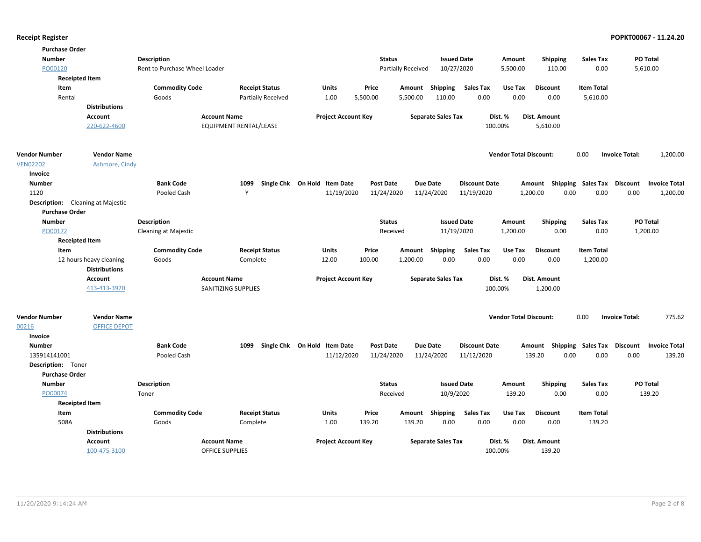| <b>Purchase Order</b> |                                          |                               |                            |                              |                           |                                         |                               |                                      |                                   |
|-----------------------|------------------------------------------|-------------------------------|----------------------------|------------------------------|---------------------------|-----------------------------------------|-------------------------------|--------------------------------------|-----------------------------------|
| <b>Number</b>         |                                          | <b>Description</b>            |                            |                              | <b>Status</b>             | <b>Issued Date</b>                      | Amount                        | <b>Shipping</b><br><b>Sales Tax</b>  | PO Total                          |
| PO00120               |                                          | Rent to Purchase Wheel Loader |                            |                              | <b>Partially Received</b> | 10/27/2020                              | 5,500.00                      | 110.00<br>0.00                       | 5,610.00                          |
|                       | <b>Receipted Item</b>                    |                               |                            |                              |                           |                                         |                               |                                      |                                   |
| Item                  |                                          | <b>Commodity Code</b>         | <b>Receipt Status</b>      | <b>Units</b>                 | Price<br>Amount           | Shipping<br><b>Sales Tax</b>            | Use Tax                       | <b>Discount</b><br><b>Item Total</b> |                                   |
| Rental                |                                          | Goods                         | Partially Received         | 1.00                         | 5,500.00<br>5,500.00      | 0.00<br>110.00                          | 0.00                          | 0.00<br>5,610.00                     |                                   |
|                       | <b>Distributions</b>                     |                               |                            |                              |                           |                                         |                               |                                      |                                   |
|                       | <b>Account</b>                           | <b>Account Name</b>           |                            | <b>Project Account Key</b>   |                           | <b>Separate Sales Tax</b>               | Dist. %<br>Dist. Amount       |                                      |                                   |
|                       | 220-622-4600                             |                               | EQUIPMENT RENTAL/LEASE     |                              |                           |                                         | 100.00%                       | 5,610.00                             |                                   |
| <b>Vendor Number</b>  | <b>Vendor Name</b>                       |                               |                            |                              |                           |                                         | <b>Vendor Total Discount:</b> | 0.00                                 | 1,200.00<br><b>Invoice Total:</b> |
| <b>VEN02202</b>       | Ashmore, Cindy                           |                               |                            |                              |                           |                                         |                               |                                      |                                   |
| Invoice               |                                          |                               |                            |                              |                           |                                         |                               |                                      |                                   |
| <b>Number</b>         |                                          | <b>Bank Code</b>              | 1099                       | Single Chk On Hold Item Date | Post Date                 | <b>Due Date</b><br><b>Discount Date</b> | Amount                        | Shipping Sales Tax Discount          | <b>Invoice Total</b>              |
| 1120                  |                                          | Pooled Cash                   | <b>V</b>                   | 11/19/2020                   | 11/24/2020                | 11/19/2020<br>11/24/2020                | 1,200.00                      | 0.00<br>0.00                         | 0.00<br>1,200.00                  |
|                       | <b>Description:</b> Cleaning at Majestic |                               |                            |                              |                           |                                         |                               |                                      |                                   |
| <b>Purchase Order</b> |                                          |                               |                            |                              |                           |                                         |                               |                                      |                                   |
| <b>Number</b>         |                                          | <b>Description</b>            |                            |                              | <b>Status</b>             | <b>Issued Date</b>                      | Amount                        | <b>Shipping</b><br><b>Sales Tax</b>  | <b>PO Total</b>                   |
| PO00172               |                                          | <b>Cleaning at Majestic</b>   |                            |                              | Received                  | 11/19/2020                              | 1,200.00                      | 0.00<br>0.00                         | 1,200.00                          |
|                       | <b>Receipted Item</b>                    |                               |                            |                              |                           |                                         |                               |                                      |                                   |
| Item                  |                                          | <b>Commodity Code</b>         | <b>Receipt Status</b>      | Units                        | Price<br>Amount           | Shipping<br><b>Sales Tax</b>            | Use Tax                       | <b>Discount</b><br><b>Item Total</b> |                                   |
|                       | 12 hours heavy cleaning                  | Goods                         | Complete                   | 12.00                        | 1,200.00<br>100.00        | 0.00<br>0.00                            | 0.00                          | 0.00<br>1,200.00                     |                                   |
|                       | <b>Distributions</b>                     |                               |                            |                              |                           |                                         |                               |                                      |                                   |
|                       | <b>Account</b>                           | <b>Account Name</b>           |                            | <b>Project Account Key</b>   |                           | <b>Separate Sales Tax</b>               | Dist. %<br>Dist. Amount       |                                      |                                   |
|                       | 413-413-3970                             |                               | <b>SANITIZING SUPPLIES</b> |                              |                           |                                         | 100.00%                       | 1,200.00                             |                                   |
| <b>Vendor Number</b>  | <b>Vendor Name</b>                       |                               |                            |                              |                           |                                         | <b>Vendor Total Discount:</b> | 0.00                                 | 775.62<br><b>Invoice Total:</b>   |
| 00216                 | <b>OFFICE DEPOT</b>                      |                               |                            |                              |                           |                                         |                               |                                      |                                   |
| Invoice               |                                          |                               |                            |                              |                           |                                         |                               |                                      |                                   |
| <b>Number</b>         |                                          | <b>Bank Code</b>              | 1099                       | Single Chk On Hold Item Date | <b>Post Date</b>          | <b>Due Date</b><br><b>Discount Date</b> | Amount                        | Shipping Sales Tax                   | Discount<br><b>Invoice Total</b>  |
| 135914141001          |                                          | Pooled Cash                   |                            | 11/12/2020                   | 11/24/2020                | 11/24/2020<br>11/12/2020                | 139.20                        | 0.00<br>0.00                         | 139.20<br>0.00                    |
| Description: Toner    |                                          |                               |                            |                              |                           |                                         |                               |                                      |                                   |
| <b>Purchase Order</b> |                                          |                               |                            |                              |                           |                                         |                               |                                      |                                   |
| <b>Number</b>         |                                          | Description                   |                            |                              | <b>Status</b>             | <b>Issued Date</b>                      | Amount                        | Shipping<br><b>Sales Tax</b>         | PO Total                          |
| PO00074               |                                          | Toner                         |                            |                              | Received                  | 10/9/2020                               | 139.20                        | 0.00<br>0.00                         | 139.20                            |
|                       | <b>Receipted Item</b>                    |                               |                            |                              |                           |                                         |                               |                                      |                                   |
| Item                  |                                          | <b>Commodity Code</b>         | <b>Receipt Status</b>      | Units                        | Price<br>Amount           | <b>Sales Tax</b><br>Shipping            | Use Tax                       | <b>Discount</b><br><b>Item Total</b> |                                   |
| 508A                  |                                          | Goods                         | Complete                   | 1.00                         | 139.20<br>139.20          | 0.00<br>0.00                            | 0.00                          | 0.00<br>139.20                       |                                   |
|                       | <b>Distributions</b>                     |                               |                            |                              |                           |                                         |                               |                                      |                                   |
|                       | <b>Account</b>                           | <b>Account Name</b>           |                            | <b>Project Account Key</b>   |                           | <b>Separate Sales Tax</b>               | Dist. %<br>Dist. Amount       |                                      |                                   |
|                       | 100-475-3100                             | <b>OFFICE SUPPLIES</b>        |                            |                              |                           |                                         | 100.00%                       | 139.20                               |                                   |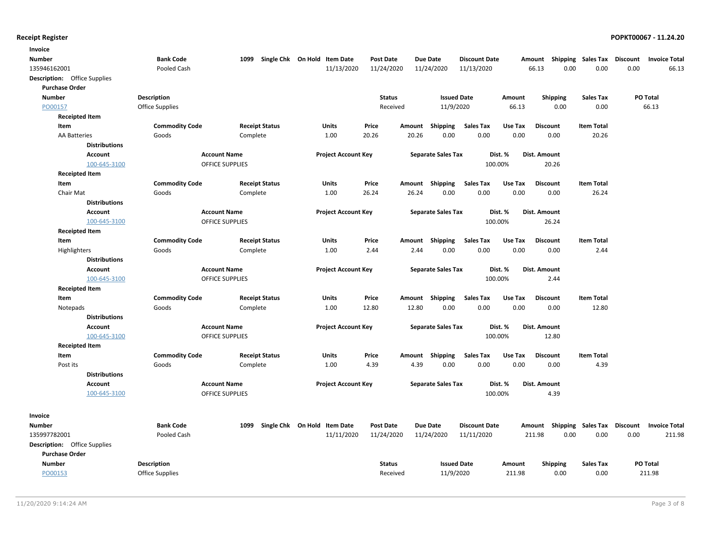| Invoice                             |                       |                                |                        |                                      |                            |                  |        |                           |                          |                 |                                    |                   |      |                                                  |
|-------------------------------------|-----------------------|--------------------------------|------------------------|--------------------------------------|----------------------------|------------------|--------|---------------------------|--------------------------|-----------------|------------------------------------|-------------------|------|--------------------------------------------------|
| Number                              |                       | <b>Bank Code</b>               |                        | 1099<br>Single Chk On Hold Item Date |                            | <b>Post Date</b> |        | <b>Due Date</b>           | <b>Discount Date</b>     |                 | Amount Shipping Sales Tax Discount |                   |      | <b>Invoice Total</b>                             |
| 135946162001                        |                       | Pooled Cash                    |                        |                                      | 11/13/2020                 | 11/24/2020       |        | 11/24/2020                | 11/13/2020               |                 | 0.00<br>66.13                      | 0.00              | 0.00 | 66.13                                            |
| Description: Office Supplies        |                       |                                |                        |                                      |                            |                  |        |                           |                          |                 |                                    |                   |      |                                                  |
| <b>Purchase Order</b>               |                       |                                |                        |                                      |                            |                  |        |                           |                          |                 |                                    |                   |      |                                                  |
| <b>Number</b>                       |                       | <b>Description</b>             |                        |                                      |                            | <b>Status</b>    |        | <b>Issued Date</b>        |                          | Amount          | <b>Shipping</b>                    | <b>Sales Tax</b>  |      | PO Total                                         |
| PO00157                             |                       | <b>Office Supplies</b>         |                        |                                      |                            | Received         |        | 11/9/2020                 |                          | 66.13           | 0.00                               | 0.00              |      | 66.13                                            |
|                                     | <b>Receipted Item</b> |                                |                        |                                      |                            |                  |        |                           |                          |                 |                                    |                   |      |                                                  |
| Item                                |                       | <b>Commodity Code</b>          |                        | <b>Receipt Status</b>                | <b>Units</b>               | Price            | Amount | Shipping                  | Sales Tax                | Use Tax         | <b>Discount</b>                    | <b>Item Total</b> |      |                                                  |
| <b>AA Batteries</b>                 |                       | Goods                          |                        | Complete                             | 1.00                       | 20.26            | 20.26  | 0.00                      | 0.00                     | 0.00            | 0.00                               | 20.26             |      |                                                  |
|                                     | <b>Distributions</b>  |                                |                        |                                      |                            |                  |        |                           |                          |                 |                                    |                   |      |                                                  |
|                                     | <b>Account</b>        |                                | <b>Account Name</b>    |                                      | <b>Project Account Key</b> |                  |        | <b>Separate Sales Tax</b> |                          | Dist. %         | Dist. Amount                       |                   |      |                                                  |
|                                     | 100-645-3100          |                                | <b>OFFICE SUPPLIES</b> |                                      |                            |                  |        |                           |                          | 100.00%         | 20.26                              |                   |      |                                                  |
|                                     | <b>Receipted Item</b> |                                |                        |                                      |                            |                  |        |                           |                          |                 |                                    |                   |      |                                                  |
| Item                                |                       | <b>Commodity Code</b>          |                        | <b>Receipt Status</b>                | Units                      | Price            |        | Amount Shipping           | Sales Tax                | Use Tax         | <b>Discount</b>                    | <b>Item Total</b> |      |                                                  |
| Chair Mat                           |                       | Goods                          |                        | Complete                             | 1.00                       | 26.24            | 26.24  | 0.00                      | 0.00                     | 0.00            | 0.00                               | 26.24             |      |                                                  |
|                                     | <b>Distributions</b>  |                                |                        |                                      |                            |                  |        |                           |                          |                 |                                    |                   |      |                                                  |
|                                     | <b>Account</b>        |                                | <b>Account Name</b>    |                                      | <b>Project Account Key</b> |                  |        | <b>Separate Sales Tax</b> |                          | Dist. %         | Dist. Amount                       |                   |      |                                                  |
|                                     | 100-645-3100          |                                | <b>OFFICE SUPPLIES</b> |                                      |                            |                  |        |                           |                          | 100.00%         | 26.24                              |                   |      |                                                  |
|                                     | <b>Receipted Item</b> |                                |                        |                                      |                            |                  |        |                           |                          |                 |                                    |                   |      |                                                  |
| Item                                |                       | <b>Commodity Code</b>          |                        | <b>Receipt Status</b>                | <b>Units</b>               | Price            | Amount | <b>Shipping</b>           | <b>Sales Tax</b>         | Use Tax         | <b>Discount</b>                    | <b>Item Total</b> |      |                                                  |
| Highlighters                        |                       | Goods                          |                        | Complete                             | 1.00                       | 2.44             | 2.44   | 0.00                      | 0.00                     | 0.00            | 0.00                               | 2.44              |      |                                                  |
|                                     | <b>Distributions</b>  |                                |                        |                                      |                            |                  |        |                           |                          |                 |                                    |                   |      |                                                  |
|                                     | Account               |                                | <b>Account Name</b>    |                                      | <b>Project Account Key</b> |                  |        | <b>Separate Sales Tax</b> |                          | Dist. %         | Dist. Amount                       |                   |      |                                                  |
|                                     | 100-645-3100          |                                | OFFICE SUPPLIES        |                                      |                            |                  |        |                           |                          | 100.00%         | 2.44                               |                   |      |                                                  |
| Item                                | <b>Receipted Item</b> |                                |                        | <b>Receipt Status</b>                | <b>Units</b>               |                  |        |                           |                          |                 | <b>Discount</b>                    | <b>Item Total</b> |      |                                                  |
|                                     |                       | <b>Commodity Code</b><br>Goods |                        | Complete                             | 1.00                       | Price<br>12.80   | 12.80  | Amount Shipping<br>0.00   | <b>Sales Tax</b><br>0.00 | Use Tax<br>0.00 | 0.00                               | 12.80             |      |                                                  |
| Notepads                            | <b>Distributions</b>  |                                |                        |                                      |                            |                  |        |                           |                          |                 |                                    |                   |      |                                                  |
|                                     | <b>Account</b>        |                                | <b>Account Name</b>    |                                      | <b>Project Account Key</b> |                  |        | <b>Separate Sales Tax</b> |                          | Dist. %         | Dist. Amount                       |                   |      |                                                  |
|                                     | 100-645-3100          |                                | OFFICE SUPPLIES        |                                      |                            |                  |        |                           |                          | 100.00%         | 12.80                              |                   |      |                                                  |
|                                     | <b>Receipted Item</b> |                                |                        |                                      |                            |                  |        |                           |                          |                 |                                    |                   |      |                                                  |
| Item                                |                       | <b>Commodity Code</b>          |                        | <b>Receipt Status</b>                | <b>Units</b>               | Price            |        | Amount Shipping           | <b>Sales Tax</b>         | Use Tax         | <b>Discount</b>                    | <b>Item Total</b> |      |                                                  |
| Post its                            |                       | Goods                          |                        | Complete                             | 1.00                       | 4.39             | 4.39   | 0.00                      | 0.00                     | 0.00            | 0.00                               | 4.39              |      |                                                  |
|                                     | <b>Distributions</b>  |                                |                        |                                      |                            |                  |        |                           |                          |                 |                                    |                   |      |                                                  |
|                                     | <b>Account</b>        |                                | <b>Account Name</b>    |                                      | <b>Project Account Key</b> |                  |        | <b>Separate Sales Tax</b> |                          | Dist. %         | <b>Dist. Amount</b>                |                   |      |                                                  |
|                                     | 100-645-3100          |                                | OFFICE SUPPLIES        |                                      |                            |                  |        |                           |                          | 100.00%         | 4.39                               |                   |      |                                                  |
|                                     |                       |                                |                        |                                      |                            |                  |        |                           |                          |                 |                                    |                   |      |                                                  |
| Invoice                             |                       |                                |                        |                                      |                            |                  |        |                           |                          |                 |                                    |                   |      |                                                  |
| Number                              |                       | <b>Bank Code</b>               |                        | 1099 Single Chk On Hold Item Date    |                            | <b>Post Date</b> |        | <b>Due Date</b>           | <b>Discount Date</b>     |                 |                                    |                   |      | Amount Shipping Sales Tax Discount Invoice Total |
| 135997782001                        |                       | Pooled Cash                    |                        |                                      | 11/11/2020                 | 11/24/2020       |        | 11/24/2020                | 11/11/2020               |                 | 211.98<br>0.00                     | 0.00              | 0.00 | 211.98                                           |
| <b>Description:</b> Office Supplies |                       |                                |                        |                                      |                            |                  |        |                           |                          |                 |                                    |                   |      |                                                  |
| <b>Purchase Order</b>               |                       |                                |                        |                                      |                            |                  |        |                           |                          |                 |                                    |                   |      |                                                  |
| <b>Number</b>                       |                       | <b>Description</b>             |                        |                                      |                            | <b>Status</b>    |        | <b>Issued Date</b>        |                          | Amount          | <b>Shipping</b>                    | <b>Sales Tax</b>  |      | PO Total                                         |
| PO00153                             |                       | <b>Office Supplies</b>         |                        |                                      |                            | Received         |        | 11/9/2020                 |                          | 211.98          | 0.00                               | 0.00              |      | 211.98                                           |
|                                     |                       |                                |                        |                                      |                            |                  |        |                           |                          |                 |                                    |                   |      |                                                  |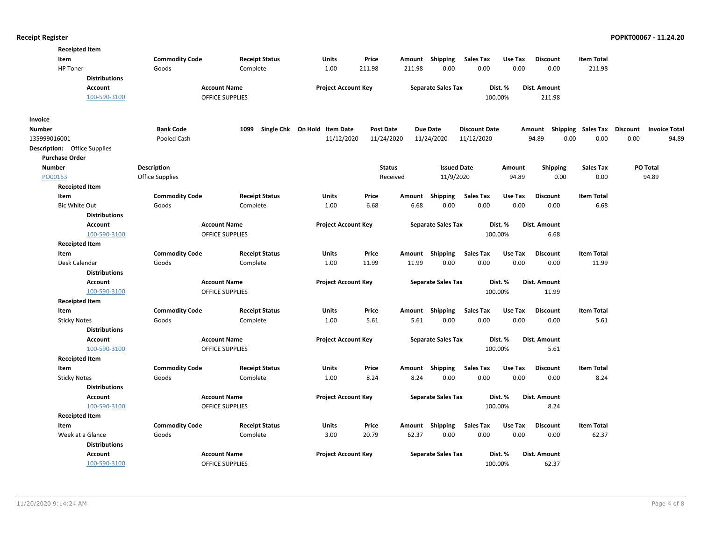| <b>Commodity Code</b><br><b>Item Total</b><br>Item<br><b>Receipt Status</b><br><b>Units</b><br>Price<br>Amount Shipping<br><b>Sales Tax</b><br>Use Tax<br><b>Discount</b><br>211.98<br>0.00<br>211.98<br><b>HP</b> Toner<br>Goods<br>Complete<br>1.00<br>211.98<br>0.00<br>0.00<br>0.00<br><b>Distributions</b><br>Account<br><b>Account Name</b><br><b>Project Account Key</b><br><b>Separate Sales Tax</b><br>Dist. %<br>Dist. Amount<br><b>OFFICE SUPPLIES</b><br>100-590-3100<br>100.00%<br>211.98<br>Invoice<br><b>Bank Code</b><br>1099<br>Single Chk On Hold Item Date<br><b>Post Date</b><br><b>Due Date</b><br><b>Discount Date</b><br><b>Shipping Sales Tax</b><br>Discount<br><b>Invoice Total</b><br>Number<br>Amount<br>94.89<br>0.00<br>0.00<br>0.00<br>94.89<br>135999016001<br>Pooled Cash<br>11/12/2020<br>11/24/2020<br>11/24/2020<br>11/12/2020<br><b>Description:</b> Office Supplies<br><b>Purchase Order</b><br><b>Description</b><br><b>Status</b><br><b>Issued Date</b><br><b>Sales Tax</b><br>PO Total<br><b>Number</b><br>Amount<br><b>Shipping</b><br>Received<br>11/9/2020<br>0.00<br>94.89<br>PO00153<br>Office Supplies<br>94.89<br>0.00<br><b>Receipted Item</b><br>Price<br><b>Sales Tax</b><br><b>Item Total</b><br><b>Commodity Code</b><br><b>Receipt Status</b><br>Units<br>Shipping<br>Use Tax<br><b>Discount</b><br>Item<br>Amount<br><b>Bic White Out</b><br>Complete<br>1.00<br>6.68<br>6.68<br>0.00<br>0.00<br>0.00<br>0.00<br>6.68<br>Goods<br><b>Distributions</b><br><b>Account Name</b><br><b>Project Account Key</b><br><b>Separate Sales Tax</b><br>Dist. %<br>Dist. Amount<br><b>Account</b><br>100-590-3100<br><b>OFFICE SUPPLIES</b><br>100.00%<br>6.68<br><b>Receipted Item</b><br><b>Sales Tax</b><br>Item<br><b>Commodity Code</b><br><b>Receipt Status</b><br>Units<br>Price<br>Shipping<br>Use Tax<br><b>Discount</b><br><b>Item Total</b><br>Amount<br>11.99<br>0.00<br>0.00<br>0.00<br>Desk Calendar<br>Goods<br>Complete<br>1.00<br>11.99<br>0.00<br>11.99<br><b>Distributions</b><br><b>Account Name</b><br><b>Project Account Key</b><br><b>Separate Sales Tax</b><br>Dist. %<br><b>Dist. Amount</b><br><b>Account</b><br>100-590-3100<br><b>OFFICE SUPPLIES</b><br>100.00%<br>11.99<br><b>Receipted Item</b><br><b>Commodity Code</b><br><b>Item Total</b><br>Item<br><b>Receipt Status</b><br>Units<br>Price<br>Shipping<br><b>Sales Tax</b><br>Use Tax<br><b>Discount</b><br>Amount<br>5.61<br>0.00<br>0.00<br>0.00<br><b>Sticky Notes</b><br>Goods<br>Complete<br>1.00<br>5.61<br>0.00<br>5.61<br><b>Distributions</b><br>Dist. %<br><b>Account Name</b><br><b>Project Account Key</b><br><b>Separate Sales Tax</b><br><b>Dist. Amount</b><br><b>Account</b><br>100.00%<br>100-590-3100<br><b>OFFICE SUPPLIES</b><br>5.61<br><b>Receipted Item</b><br><b>Commodity Code</b><br>Shipping<br><b>Sales Tax</b><br><b>Item Total</b><br>Item<br><b>Receipt Status</b><br><b>Units</b><br>Price<br>Use Tax<br><b>Discount</b><br>Amount<br>0.00<br>Goods<br>1.00<br>8.24<br>8.24<br>0.00<br>0.00<br>0.00<br>8.24<br><b>Sticky Notes</b><br>Complete<br><b>Distributions</b><br><b>Account Name</b><br><b>Project Account Key</b><br><b>Separate Sales Tax</b><br>Dist. %<br>Dist. Amount<br>Account<br>100-590-3100<br>100.00%<br>OFFICE SUPPLIES<br>8.24<br><b>Receipted Item</b><br><b>Commodity Code</b><br><b>Receipt Status</b><br>Amount Shipping<br><b>Sales Tax</b><br>Use Tax<br><b>Discount</b><br><b>Item Total</b><br>Item<br>Units<br>Price<br>Week at a Glance<br>3.00<br>62.37<br>0.00<br>0.00<br>0.00<br>0.00<br>62.37<br>Goods<br>Complete<br>20.79<br><b>Distributions</b><br><b>Account</b><br><b>Account Name</b><br><b>Project Account Key</b><br><b>Separate Sales Tax</b><br>Dist. %<br>Dist. Amount<br>100-590-3100<br>OFFICE SUPPLIES<br>100.00%<br>62.37 | <b>Receipted Item</b> |  |  |  |  |  |  |
|-----------------------------------------------------------------------------------------------------------------------------------------------------------------------------------------------------------------------------------------------------------------------------------------------------------------------------------------------------------------------------------------------------------------------------------------------------------------------------------------------------------------------------------------------------------------------------------------------------------------------------------------------------------------------------------------------------------------------------------------------------------------------------------------------------------------------------------------------------------------------------------------------------------------------------------------------------------------------------------------------------------------------------------------------------------------------------------------------------------------------------------------------------------------------------------------------------------------------------------------------------------------------------------------------------------------------------------------------------------------------------------------------------------------------------------------------------------------------------------------------------------------------------------------------------------------------------------------------------------------------------------------------------------------------------------------------------------------------------------------------------------------------------------------------------------------------------------------------------------------------------------------------------------------------------------------------------------------------------------------------------------------------------------------------------------------------------------------------------------------------------------------------------------------------------------------------------------------------------------------------------------------------------------------------------------------------------------------------------------------------------------------------------------------------------------------------------------------------------------------------------------------------------------------------------------------------------------------------------------------------------------------------------------------------------------------------------------------------------------------------------------------------------------------------------------------------------------------------------------------------------------------------------------------------------------------------------------------------------------------------------------------------------------------------------------------------------------------------------------------------------------------------------------------------------------------------------------------------------------------------------------------------------------------------------------------------------------------------------------------------------------------------------------------------------------------------------------------------------------------------------------------------------------------------------------------------------------------------------------------------------------------------------------------------------------------------------------------------------------------------------------------------------------------------------------------------------------------------|-----------------------|--|--|--|--|--|--|
|                                                                                                                                                                                                                                                                                                                                                                                                                                                                                                                                                                                                                                                                                                                                                                                                                                                                                                                                                                                                                                                                                                                                                                                                                                                                                                                                                                                                                                                                                                                                                                                                                                                                                                                                                                                                                                                                                                                                                                                                                                                                                                                                                                                                                                                                                                                                                                                                                                                                                                                                                                                                                                                                                                                                                                                                                                                                                                                                                                                                                                                                                                                                                                                                                                                                                                                                                                                                                                                                                                                                                                                                                                                                                                                                                                                                                                               |                       |  |  |  |  |  |  |
|                                                                                                                                                                                                                                                                                                                                                                                                                                                                                                                                                                                                                                                                                                                                                                                                                                                                                                                                                                                                                                                                                                                                                                                                                                                                                                                                                                                                                                                                                                                                                                                                                                                                                                                                                                                                                                                                                                                                                                                                                                                                                                                                                                                                                                                                                                                                                                                                                                                                                                                                                                                                                                                                                                                                                                                                                                                                                                                                                                                                                                                                                                                                                                                                                                                                                                                                                                                                                                                                                                                                                                                                                                                                                                                                                                                                                                               |                       |  |  |  |  |  |  |
|                                                                                                                                                                                                                                                                                                                                                                                                                                                                                                                                                                                                                                                                                                                                                                                                                                                                                                                                                                                                                                                                                                                                                                                                                                                                                                                                                                                                                                                                                                                                                                                                                                                                                                                                                                                                                                                                                                                                                                                                                                                                                                                                                                                                                                                                                                                                                                                                                                                                                                                                                                                                                                                                                                                                                                                                                                                                                                                                                                                                                                                                                                                                                                                                                                                                                                                                                                                                                                                                                                                                                                                                                                                                                                                                                                                                                                               |                       |  |  |  |  |  |  |
|                                                                                                                                                                                                                                                                                                                                                                                                                                                                                                                                                                                                                                                                                                                                                                                                                                                                                                                                                                                                                                                                                                                                                                                                                                                                                                                                                                                                                                                                                                                                                                                                                                                                                                                                                                                                                                                                                                                                                                                                                                                                                                                                                                                                                                                                                                                                                                                                                                                                                                                                                                                                                                                                                                                                                                                                                                                                                                                                                                                                                                                                                                                                                                                                                                                                                                                                                                                                                                                                                                                                                                                                                                                                                                                                                                                                                                               |                       |  |  |  |  |  |  |
|                                                                                                                                                                                                                                                                                                                                                                                                                                                                                                                                                                                                                                                                                                                                                                                                                                                                                                                                                                                                                                                                                                                                                                                                                                                                                                                                                                                                                                                                                                                                                                                                                                                                                                                                                                                                                                                                                                                                                                                                                                                                                                                                                                                                                                                                                                                                                                                                                                                                                                                                                                                                                                                                                                                                                                                                                                                                                                                                                                                                                                                                                                                                                                                                                                                                                                                                                                                                                                                                                                                                                                                                                                                                                                                                                                                                                                               |                       |  |  |  |  |  |  |
|                                                                                                                                                                                                                                                                                                                                                                                                                                                                                                                                                                                                                                                                                                                                                                                                                                                                                                                                                                                                                                                                                                                                                                                                                                                                                                                                                                                                                                                                                                                                                                                                                                                                                                                                                                                                                                                                                                                                                                                                                                                                                                                                                                                                                                                                                                                                                                                                                                                                                                                                                                                                                                                                                                                                                                                                                                                                                                                                                                                                                                                                                                                                                                                                                                                                                                                                                                                                                                                                                                                                                                                                                                                                                                                                                                                                                                               |                       |  |  |  |  |  |  |
|                                                                                                                                                                                                                                                                                                                                                                                                                                                                                                                                                                                                                                                                                                                                                                                                                                                                                                                                                                                                                                                                                                                                                                                                                                                                                                                                                                                                                                                                                                                                                                                                                                                                                                                                                                                                                                                                                                                                                                                                                                                                                                                                                                                                                                                                                                                                                                                                                                                                                                                                                                                                                                                                                                                                                                                                                                                                                                                                                                                                                                                                                                                                                                                                                                                                                                                                                                                                                                                                                                                                                                                                                                                                                                                                                                                                                                               |                       |  |  |  |  |  |  |
|                                                                                                                                                                                                                                                                                                                                                                                                                                                                                                                                                                                                                                                                                                                                                                                                                                                                                                                                                                                                                                                                                                                                                                                                                                                                                                                                                                                                                                                                                                                                                                                                                                                                                                                                                                                                                                                                                                                                                                                                                                                                                                                                                                                                                                                                                                                                                                                                                                                                                                                                                                                                                                                                                                                                                                                                                                                                                                                                                                                                                                                                                                                                                                                                                                                                                                                                                                                                                                                                                                                                                                                                                                                                                                                                                                                                                                               |                       |  |  |  |  |  |  |
|                                                                                                                                                                                                                                                                                                                                                                                                                                                                                                                                                                                                                                                                                                                                                                                                                                                                                                                                                                                                                                                                                                                                                                                                                                                                                                                                                                                                                                                                                                                                                                                                                                                                                                                                                                                                                                                                                                                                                                                                                                                                                                                                                                                                                                                                                                                                                                                                                                                                                                                                                                                                                                                                                                                                                                                                                                                                                                                                                                                                                                                                                                                                                                                                                                                                                                                                                                                                                                                                                                                                                                                                                                                                                                                                                                                                                                               |                       |  |  |  |  |  |  |
|                                                                                                                                                                                                                                                                                                                                                                                                                                                                                                                                                                                                                                                                                                                                                                                                                                                                                                                                                                                                                                                                                                                                                                                                                                                                                                                                                                                                                                                                                                                                                                                                                                                                                                                                                                                                                                                                                                                                                                                                                                                                                                                                                                                                                                                                                                                                                                                                                                                                                                                                                                                                                                                                                                                                                                                                                                                                                                                                                                                                                                                                                                                                                                                                                                                                                                                                                                                                                                                                                                                                                                                                                                                                                                                                                                                                                                               |                       |  |  |  |  |  |  |
|                                                                                                                                                                                                                                                                                                                                                                                                                                                                                                                                                                                                                                                                                                                                                                                                                                                                                                                                                                                                                                                                                                                                                                                                                                                                                                                                                                                                                                                                                                                                                                                                                                                                                                                                                                                                                                                                                                                                                                                                                                                                                                                                                                                                                                                                                                                                                                                                                                                                                                                                                                                                                                                                                                                                                                                                                                                                                                                                                                                                                                                                                                                                                                                                                                                                                                                                                                                                                                                                                                                                                                                                                                                                                                                                                                                                                                               |                       |  |  |  |  |  |  |
|                                                                                                                                                                                                                                                                                                                                                                                                                                                                                                                                                                                                                                                                                                                                                                                                                                                                                                                                                                                                                                                                                                                                                                                                                                                                                                                                                                                                                                                                                                                                                                                                                                                                                                                                                                                                                                                                                                                                                                                                                                                                                                                                                                                                                                                                                                                                                                                                                                                                                                                                                                                                                                                                                                                                                                                                                                                                                                                                                                                                                                                                                                                                                                                                                                                                                                                                                                                                                                                                                                                                                                                                                                                                                                                                                                                                                                               |                       |  |  |  |  |  |  |
|                                                                                                                                                                                                                                                                                                                                                                                                                                                                                                                                                                                                                                                                                                                                                                                                                                                                                                                                                                                                                                                                                                                                                                                                                                                                                                                                                                                                                                                                                                                                                                                                                                                                                                                                                                                                                                                                                                                                                                                                                                                                                                                                                                                                                                                                                                                                                                                                                                                                                                                                                                                                                                                                                                                                                                                                                                                                                                                                                                                                                                                                                                                                                                                                                                                                                                                                                                                                                                                                                                                                                                                                                                                                                                                                                                                                                                               |                       |  |  |  |  |  |  |
|                                                                                                                                                                                                                                                                                                                                                                                                                                                                                                                                                                                                                                                                                                                                                                                                                                                                                                                                                                                                                                                                                                                                                                                                                                                                                                                                                                                                                                                                                                                                                                                                                                                                                                                                                                                                                                                                                                                                                                                                                                                                                                                                                                                                                                                                                                                                                                                                                                                                                                                                                                                                                                                                                                                                                                                                                                                                                                                                                                                                                                                                                                                                                                                                                                                                                                                                                                                                                                                                                                                                                                                                                                                                                                                                                                                                                                               |                       |  |  |  |  |  |  |
|                                                                                                                                                                                                                                                                                                                                                                                                                                                                                                                                                                                                                                                                                                                                                                                                                                                                                                                                                                                                                                                                                                                                                                                                                                                                                                                                                                                                                                                                                                                                                                                                                                                                                                                                                                                                                                                                                                                                                                                                                                                                                                                                                                                                                                                                                                                                                                                                                                                                                                                                                                                                                                                                                                                                                                                                                                                                                                                                                                                                                                                                                                                                                                                                                                                                                                                                                                                                                                                                                                                                                                                                                                                                                                                                                                                                                                               |                       |  |  |  |  |  |  |
|                                                                                                                                                                                                                                                                                                                                                                                                                                                                                                                                                                                                                                                                                                                                                                                                                                                                                                                                                                                                                                                                                                                                                                                                                                                                                                                                                                                                                                                                                                                                                                                                                                                                                                                                                                                                                                                                                                                                                                                                                                                                                                                                                                                                                                                                                                                                                                                                                                                                                                                                                                                                                                                                                                                                                                                                                                                                                                                                                                                                                                                                                                                                                                                                                                                                                                                                                                                                                                                                                                                                                                                                                                                                                                                                                                                                                                               |                       |  |  |  |  |  |  |
|                                                                                                                                                                                                                                                                                                                                                                                                                                                                                                                                                                                                                                                                                                                                                                                                                                                                                                                                                                                                                                                                                                                                                                                                                                                                                                                                                                                                                                                                                                                                                                                                                                                                                                                                                                                                                                                                                                                                                                                                                                                                                                                                                                                                                                                                                                                                                                                                                                                                                                                                                                                                                                                                                                                                                                                                                                                                                                                                                                                                                                                                                                                                                                                                                                                                                                                                                                                                                                                                                                                                                                                                                                                                                                                                                                                                                                               |                       |  |  |  |  |  |  |
|                                                                                                                                                                                                                                                                                                                                                                                                                                                                                                                                                                                                                                                                                                                                                                                                                                                                                                                                                                                                                                                                                                                                                                                                                                                                                                                                                                                                                                                                                                                                                                                                                                                                                                                                                                                                                                                                                                                                                                                                                                                                                                                                                                                                                                                                                                                                                                                                                                                                                                                                                                                                                                                                                                                                                                                                                                                                                                                                                                                                                                                                                                                                                                                                                                                                                                                                                                                                                                                                                                                                                                                                                                                                                                                                                                                                                                               |                       |  |  |  |  |  |  |
|                                                                                                                                                                                                                                                                                                                                                                                                                                                                                                                                                                                                                                                                                                                                                                                                                                                                                                                                                                                                                                                                                                                                                                                                                                                                                                                                                                                                                                                                                                                                                                                                                                                                                                                                                                                                                                                                                                                                                                                                                                                                                                                                                                                                                                                                                                                                                                                                                                                                                                                                                                                                                                                                                                                                                                                                                                                                                                                                                                                                                                                                                                                                                                                                                                                                                                                                                                                                                                                                                                                                                                                                                                                                                                                                                                                                                                               |                       |  |  |  |  |  |  |
|                                                                                                                                                                                                                                                                                                                                                                                                                                                                                                                                                                                                                                                                                                                                                                                                                                                                                                                                                                                                                                                                                                                                                                                                                                                                                                                                                                                                                                                                                                                                                                                                                                                                                                                                                                                                                                                                                                                                                                                                                                                                                                                                                                                                                                                                                                                                                                                                                                                                                                                                                                                                                                                                                                                                                                                                                                                                                                                                                                                                                                                                                                                                                                                                                                                                                                                                                                                                                                                                                                                                                                                                                                                                                                                                                                                                                                               |                       |  |  |  |  |  |  |
|                                                                                                                                                                                                                                                                                                                                                                                                                                                                                                                                                                                                                                                                                                                                                                                                                                                                                                                                                                                                                                                                                                                                                                                                                                                                                                                                                                                                                                                                                                                                                                                                                                                                                                                                                                                                                                                                                                                                                                                                                                                                                                                                                                                                                                                                                                                                                                                                                                                                                                                                                                                                                                                                                                                                                                                                                                                                                                                                                                                                                                                                                                                                                                                                                                                                                                                                                                                                                                                                                                                                                                                                                                                                                                                                                                                                                                               |                       |  |  |  |  |  |  |
|                                                                                                                                                                                                                                                                                                                                                                                                                                                                                                                                                                                                                                                                                                                                                                                                                                                                                                                                                                                                                                                                                                                                                                                                                                                                                                                                                                                                                                                                                                                                                                                                                                                                                                                                                                                                                                                                                                                                                                                                                                                                                                                                                                                                                                                                                                                                                                                                                                                                                                                                                                                                                                                                                                                                                                                                                                                                                                                                                                                                                                                                                                                                                                                                                                                                                                                                                                                                                                                                                                                                                                                                                                                                                                                                                                                                                                               |                       |  |  |  |  |  |  |
|                                                                                                                                                                                                                                                                                                                                                                                                                                                                                                                                                                                                                                                                                                                                                                                                                                                                                                                                                                                                                                                                                                                                                                                                                                                                                                                                                                                                                                                                                                                                                                                                                                                                                                                                                                                                                                                                                                                                                                                                                                                                                                                                                                                                                                                                                                                                                                                                                                                                                                                                                                                                                                                                                                                                                                                                                                                                                                                                                                                                                                                                                                                                                                                                                                                                                                                                                                                                                                                                                                                                                                                                                                                                                                                                                                                                                                               |                       |  |  |  |  |  |  |
|                                                                                                                                                                                                                                                                                                                                                                                                                                                                                                                                                                                                                                                                                                                                                                                                                                                                                                                                                                                                                                                                                                                                                                                                                                                                                                                                                                                                                                                                                                                                                                                                                                                                                                                                                                                                                                                                                                                                                                                                                                                                                                                                                                                                                                                                                                                                                                                                                                                                                                                                                                                                                                                                                                                                                                                                                                                                                                                                                                                                                                                                                                                                                                                                                                                                                                                                                                                                                                                                                                                                                                                                                                                                                                                                                                                                                                               |                       |  |  |  |  |  |  |
|                                                                                                                                                                                                                                                                                                                                                                                                                                                                                                                                                                                                                                                                                                                                                                                                                                                                                                                                                                                                                                                                                                                                                                                                                                                                                                                                                                                                                                                                                                                                                                                                                                                                                                                                                                                                                                                                                                                                                                                                                                                                                                                                                                                                                                                                                                                                                                                                                                                                                                                                                                                                                                                                                                                                                                                                                                                                                                                                                                                                                                                                                                                                                                                                                                                                                                                                                                                                                                                                                                                                                                                                                                                                                                                                                                                                                                               |                       |  |  |  |  |  |  |
|                                                                                                                                                                                                                                                                                                                                                                                                                                                                                                                                                                                                                                                                                                                                                                                                                                                                                                                                                                                                                                                                                                                                                                                                                                                                                                                                                                                                                                                                                                                                                                                                                                                                                                                                                                                                                                                                                                                                                                                                                                                                                                                                                                                                                                                                                                                                                                                                                                                                                                                                                                                                                                                                                                                                                                                                                                                                                                                                                                                                                                                                                                                                                                                                                                                                                                                                                                                                                                                                                                                                                                                                                                                                                                                                                                                                                                               |                       |  |  |  |  |  |  |
|                                                                                                                                                                                                                                                                                                                                                                                                                                                                                                                                                                                                                                                                                                                                                                                                                                                                                                                                                                                                                                                                                                                                                                                                                                                                                                                                                                                                                                                                                                                                                                                                                                                                                                                                                                                                                                                                                                                                                                                                                                                                                                                                                                                                                                                                                                                                                                                                                                                                                                                                                                                                                                                                                                                                                                                                                                                                                                                                                                                                                                                                                                                                                                                                                                                                                                                                                                                                                                                                                                                                                                                                                                                                                                                                                                                                                                               |                       |  |  |  |  |  |  |
|                                                                                                                                                                                                                                                                                                                                                                                                                                                                                                                                                                                                                                                                                                                                                                                                                                                                                                                                                                                                                                                                                                                                                                                                                                                                                                                                                                                                                                                                                                                                                                                                                                                                                                                                                                                                                                                                                                                                                                                                                                                                                                                                                                                                                                                                                                                                                                                                                                                                                                                                                                                                                                                                                                                                                                                                                                                                                                                                                                                                                                                                                                                                                                                                                                                                                                                                                                                                                                                                                                                                                                                                                                                                                                                                                                                                                                               |                       |  |  |  |  |  |  |
|                                                                                                                                                                                                                                                                                                                                                                                                                                                                                                                                                                                                                                                                                                                                                                                                                                                                                                                                                                                                                                                                                                                                                                                                                                                                                                                                                                                                                                                                                                                                                                                                                                                                                                                                                                                                                                                                                                                                                                                                                                                                                                                                                                                                                                                                                                                                                                                                                                                                                                                                                                                                                                                                                                                                                                                                                                                                                                                                                                                                                                                                                                                                                                                                                                                                                                                                                                                                                                                                                                                                                                                                                                                                                                                                                                                                                                               |                       |  |  |  |  |  |  |
|                                                                                                                                                                                                                                                                                                                                                                                                                                                                                                                                                                                                                                                                                                                                                                                                                                                                                                                                                                                                                                                                                                                                                                                                                                                                                                                                                                                                                                                                                                                                                                                                                                                                                                                                                                                                                                                                                                                                                                                                                                                                                                                                                                                                                                                                                                                                                                                                                                                                                                                                                                                                                                                                                                                                                                                                                                                                                                                                                                                                                                                                                                                                                                                                                                                                                                                                                                                                                                                                                                                                                                                                                                                                                                                                                                                                                                               |                       |  |  |  |  |  |  |
|                                                                                                                                                                                                                                                                                                                                                                                                                                                                                                                                                                                                                                                                                                                                                                                                                                                                                                                                                                                                                                                                                                                                                                                                                                                                                                                                                                                                                                                                                                                                                                                                                                                                                                                                                                                                                                                                                                                                                                                                                                                                                                                                                                                                                                                                                                                                                                                                                                                                                                                                                                                                                                                                                                                                                                                                                                                                                                                                                                                                                                                                                                                                                                                                                                                                                                                                                                                                                                                                                                                                                                                                                                                                                                                                                                                                                                               |                       |  |  |  |  |  |  |
|                                                                                                                                                                                                                                                                                                                                                                                                                                                                                                                                                                                                                                                                                                                                                                                                                                                                                                                                                                                                                                                                                                                                                                                                                                                                                                                                                                                                                                                                                                                                                                                                                                                                                                                                                                                                                                                                                                                                                                                                                                                                                                                                                                                                                                                                                                                                                                                                                                                                                                                                                                                                                                                                                                                                                                                                                                                                                                                                                                                                                                                                                                                                                                                                                                                                                                                                                                                                                                                                                                                                                                                                                                                                                                                                                                                                                                               |                       |  |  |  |  |  |  |
|                                                                                                                                                                                                                                                                                                                                                                                                                                                                                                                                                                                                                                                                                                                                                                                                                                                                                                                                                                                                                                                                                                                                                                                                                                                                                                                                                                                                                                                                                                                                                                                                                                                                                                                                                                                                                                                                                                                                                                                                                                                                                                                                                                                                                                                                                                                                                                                                                                                                                                                                                                                                                                                                                                                                                                                                                                                                                                                                                                                                                                                                                                                                                                                                                                                                                                                                                                                                                                                                                                                                                                                                                                                                                                                                                                                                                                               |                       |  |  |  |  |  |  |
|                                                                                                                                                                                                                                                                                                                                                                                                                                                                                                                                                                                                                                                                                                                                                                                                                                                                                                                                                                                                                                                                                                                                                                                                                                                                                                                                                                                                                                                                                                                                                                                                                                                                                                                                                                                                                                                                                                                                                                                                                                                                                                                                                                                                                                                                                                                                                                                                                                                                                                                                                                                                                                                                                                                                                                                                                                                                                                                                                                                                                                                                                                                                                                                                                                                                                                                                                                                                                                                                                                                                                                                                                                                                                                                                                                                                                                               |                       |  |  |  |  |  |  |
|                                                                                                                                                                                                                                                                                                                                                                                                                                                                                                                                                                                                                                                                                                                                                                                                                                                                                                                                                                                                                                                                                                                                                                                                                                                                                                                                                                                                                                                                                                                                                                                                                                                                                                                                                                                                                                                                                                                                                                                                                                                                                                                                                                                                                                                                                                                                                                                                                                                                                                                                                                                                                                                                                                                                                                                                                                                                                                                                                                                                                                                                                                                                                                                                                                                                                                                                                                                                                                                                                                                                                                                                                                                                                                                                                                                                                                               |                       |  |  |  |  |  |  |
|                                                                                                                                                                                                                                                                                                                                                                                                                                                                                                                                                                                                                                                                                                                                                                                                                                                                                                                                                                                                                                                                                                                                                                                                                                                                                                                                                                                                                                                                                                                                                                                                                                                                                                                                                                                                                                                                                                                                                                                                                                                                                                                                                                                                                                                                                                                                                                                                                                                                                                                                                                                                                                                                                                                                                                                                                                                                                                                                                                                                                                                                                                                                                                                                                                                                                                                                                                                                                                                                                                                                                                                                                                                                                                                                                                                                                                               |                       |  |  |  |  |  |  |
|                                                                                                                                                                                                                                                                                                                                                                                                                                                                                                                                                                                                                                                                                                                                                                                                                                                                                                                                                                                                                                                                                                                                                                                                                                                                                                                                                                                                                                                                                                                                                                                                                                                                                                                                                                                                                                                                                                                                                                                                                                                                                                                                                                                                                                                                                                                                                                                                                                                                                                                                                                                                                                                                                                                                                                                                                                                                                                                                                                                                                                                                                                                                                                                                                                                                                                                                                                                                                                                                                                                                                                                                                                                                                                                                                                                                                                               |                       |  |  |  |  |  |  |
|                                                                                                                                                                                                                                                                                                                                                                                                                                                                                                                                                                                                                                                                                                                                                                                                                                                                                                                                                                                                                                                                                                                                                                                                                                                                                                                                                                                                                                                                                                                                                                                                                                                                                                                                                                                                                                                                                                                                                                                                                                                                                                                                                                                                                                                                                                                                                                                                                                                                                                                                                                                                                                                                                                                                                                                                                                                                                                                                                                                                                                                                                                                                                                                                                                                                                                                                                                                                                                                                                                                                                                                                                                                                                                                                                                                                                                               |                       |  |  |  |  |  |  |
|                                                                                                                                                                                                                                                                                                                                                                                                                                                                                                                                                                                                                                                                                                                                                                                                                                                                                                                                                                                                                                                                                                                                                                                                                                                                                                                                                                                                                                                                                                                                                                                                                                                                                                                                                                                                                                                                                                                                                                                                                                                                                                                                                                                                                                                                                                                                                                                                                                                                                                                                                                                                                                                                                                                                                                                                                                                                                                                                                                                                                                                                                                                                                                                                                                                                                                                                                                                                                                                                                                                                                                                                                                                                                                                                                                                                                                               |                       |  |  |  |  |  |  |
|                                                                                                                                                                                                                                                                                                                                                                                                                                                                                                                                                                                                                                                                                                                                                                                                                                                                                                                                                                                                                                                                                                                                                                                                                                                                                                                                                                                                                                                                                                                                                                                                                                                                                                                                                                                                                                                                                                                                                                                                                                                                                                                                                                                                                                                                                                                                                                                                                                                                                                                                                                                                                                                                                                                                                                                                                                                                                                                                                                                                                                                                                                                                                                                                                                                                                                                                                                                                                                                                                                                                                                                                                                                                                                                                                                                                                                               |                       |  |  |  |  |  |  |
|                                                                                                                                                                                                                                                                                                                                                                                                                                                                                                                                                                                                                                                                                                                                                                                                                                                                                                                                                                                                                                                                                                                                                                                                                                                                                                                                                                                                                                                                                                                                                                                                                                                                                                                                                                                                                                                                                                                                                                                                                                                                                                                                                                                                                                                                                                                                                                                                                                                                                                                                                                                                                                                                                                                                                                                                                                                                                                                                                                                                                                                                                                                                                                                                                                                                                                                                                                                                                                                                                                                                                                                                                                                                                                                                                                                                                                               |                       |  |  |  |  |  |  |
|                                                                                                                                                                                                                                                                                                                                                                                                                                                                                                                                                                                                                                                                                                                                                                                                                                                                                                                                                                                                                                                                                                                                                                                                                                                                                                                                                                                                                                                                                                                                                                                                                                                                                                                                                                                                                                                                                                                                                                                                                                                                                                                                                                                                                                                                                                                                                                                                                                                                                                                                                                                                                                                                                                                                                                                                                                                                                                                                                                                                                                                                                                                                                                                                                                                                                                                                                                                                                                                                                                                                                                                                                                                                                                                                                                                                                                               |                       |  |  |  |  |  |  |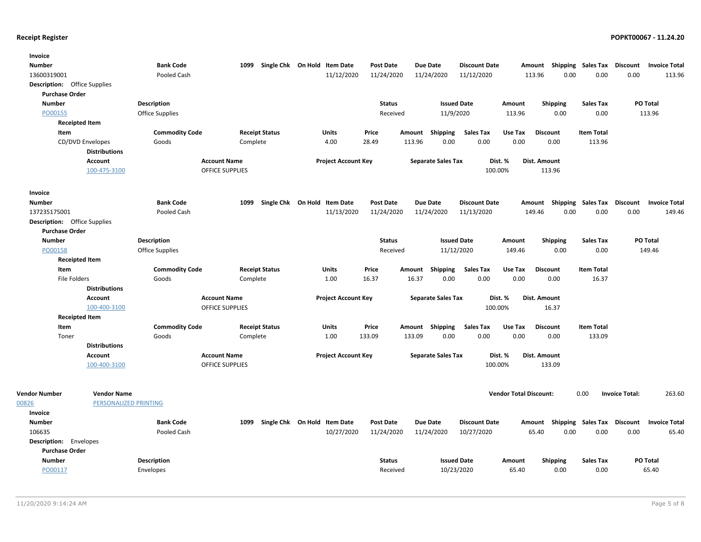| Invoice                             |                       |                       |                        |                              |                            |                  |        |                           |                      |                               |                           |                   |                       |                      |
|-------------------------------------|-----------------------|-----------------------|------------------------|------------------------------|----------------------------|------------------|--------|---------------------------|----------------------|-------------------------------|---------------------------|-------------------|-----------------------|----------------------|
| <b>Number</b>                       |                       | <b>Bank Code</b>      | 1099                   | Single Chk On Hold Item Date |                            | <b>Post Date</b> |        | <b>Due Date</b>           | <b>Discount Date</b> |                               | Amount Shipping           | Sales Tax         | Discount              | <b>Invoice Total</b> |
| 13600319001                         |                       | Pooled Cash           |                        |                              | 11/12/2020                 | 11/24/2020       |        | 11/24/2020                | 11/12/2020           | 113.96                        | 0.00                      | 0.00              | 0.00                  | 113.96               |
| <b>Description:</b> Office Supplies |                       |                       |                        |                              |                            |                  |        |                           |                      |                               |                           |                   |                       |                      |
| <b>Purchase Order</b>               |                       |                       |                        |                              |                            |                  |        |                           |                      |                               |                           |                   |                       |                      |
| <b>Number</b>                       |                       | <b>Description</b>    |                        |                              |                            | <b>Status</b>    |        | <b>Issued Date</b>        |                      | Amount                        | Shipping                  | <b>Sales Tax</b>  |                       | PO Total             |
| PO00155                             |                       | Office Supplies       |                        |                              |                            | Received         |        | 11/9/2020                 |                      | 113.96                        | 0.00                      | 0.00              |                       | 113.96               |
| <b>Receipted Item</b>               |                       |                       |                        |                              |                            |                  |        |                           |                      |                               |                           |                   |                       |                      |
| Item                                |                       | <b>Commodity Code</b> |                        | <b>Receipt Status</b>        | <b>Units</b>               | Price            |        | Amount Shipping           | <b>Sales Tax</b>     | Use Tax                       | <b>Discount</b>           | <b>Item Total</b> |                       |                      |
| CD/DVD Envelopes                    |                       | Goods                 | Complete               |                              | 4.00                       | 28.49            | 113.96 | 0.00                      | 0.00                 | 0.00                          | 0.00                      | 113.96            |                       |                      |
|                                     | <b>Distributions</b>  |                       |                        |                              |                            |                  |        |                           |                      |                               |                           |                   |                       |                      |
|                                     | Account               |                       | <b>Account Name</b>    |                              | <b>Project Account Key</b> |                  |        | <b>Separate Sales Tax</b> | Dist. %              |                               | Dist. Amount              |                   |                       |                      |
|                                     | 100-475-3100          |                       | <b>OFFICE SUPPLIES</b> |                              |                            |                  |        |                           | 100.00%              |                               | 113.96                    |                   |                       |                      |
| Invoice                             |                       |                       |                        |                              |                            |                  |        |                           |                      |                               |                           |                   |                       |                      |
| <b>Number</b>                       |                       | <b>Bank Code</b>      | 1099                   | Single Chk On Hold Item Date |                            | <b>Post Date</b> |        | <b>Due Date</b>           | <b>Discount Date</b> |                               | Amount Shipping Sales Tax |                   | <b>Discount</b>       | <b>Invoice Total</b> |
| 137235175001                        |                       | Pooled Cash           |                        |                              | 11/13/2020                 | 11/24/2020       |        | 11/24/2020                | 11/13/2020           | 149.46                        | 0.00                      | 0.00              | 0.00                  | 149.46               |
| <b>Description:</b> Office Supplies |                       |                       |                        |                              |                            |                  |        |                           |                      |                               |                           |                   |                       |                      |
| <b>Purchase Order</b>               |                       |                       |                        |                              |                            |                  |        |                           |                      |                               |                           |                   |                       |                      |
| <b>Number</b>                       |                       | <b>Description</b>    |                        |                              |                            | <b>Status</b>    |        | <b>Issued Date</b>        |                      | Amount                        | Shipping                  | <b>Sales Tax</b>  |                       | PO Total             |
| PO00158                             |                       | Office Supplies       |                        |                              |                            | Received         |        | 11/12/2020                |                      | 149.46                        | 0.00                      | 0.00              |                       | 149.46               |
| <b>Receipted Item</b>               |                       |                       |                        |                              |                            |                  |        |                           |                      |                               |                           |                   |                       |                      |
| Item                                |                       | <b>Commodity Code</b> |                        | <b>Receipt Status</b>        | Units                      | Price            | Amount | Shipping                  | <b>Sales Tax</b>     | Use Tax                       | <b>Discount</b>           | <b>Item Total</b> |                       |                      |
| <b>File Folders</b>                 |                       | Goods                 | Complete               |                              | 1.00                       | 16.37            | 16.37  | 0.00                      | 0.00                 | 0.00                          | 0.00                      | 16.37             |                       |                      |
|                                     | <b>Distributions</b>  |                       |                        |                              |                            |                  |        |                           |                      |                               |                           |                   |                       |                      |
|                                     | Account               |                       | <b>Account Name</b>    |                              | <b>Project Account Key</b> |                  |        | <b>Separate Sales Tax</b> | Dist. %              |                               | Dist. Amount              |                   |                       |                      |
|                                     | 100-400-3100          |                       | <b>OFFICE SUPPLIES</b> |                              |                            |                  |        |                           | 100.00%              |                               | 16.37                     |                   |                       |                      |
| <b>Receipted Item</b>               |                       |                       |                        |                              |                            |                  |        |                           |                      |                               |                           |                   |                       |                      |
| Item                                |                       | <b>Commodity Code</b> |                        | <b>Receipt Status</b>        | Units                      | Price            |        | Amount Shipping           | <b>Sales Tax</b>     | Use Tax                       | <b>Discount</b>           | <b>Item Total</b> |                       |                      |
| Toner                               |                       | Goods                 | Complete               |                              | 1.00                       | 133.09           | 133.09 | 0.00                      | 0.00                 | 0.00                          | 0.00                      | 133.09            |                       |                      |
|                                     | <b>Distributions</b>  |                       |                        |                              |                            |                  |        |                           |                      |                               |                           |                   |                       |                      |
|                                     | Account               |                       | <b>Account Name</b>    |                              | <b>Project Account Key</b> |                  |        | <b>Separate Sales Tax</b> | Dist. %              |                               | Dist. Amount              |                   |                       |                      |
|                                     | 100-400-3100          |                       | OFFICE SUPPLIES        |                              |                            |                  |        |                           | 100.00%              |                               | 133.09                    |                   |                       |                      |
| <b>Vendor Number</b>                | <b>Vendor Name</b>    |                       |                        |                              |                            |                  |        |                           |                      | <b>Vendor Total Discount:</b> |                           | 0.00              | <b>Invoice Total:</b> | 263.60               |
| 00826                               | PERSONALIZED PRINTING |                       |                        |                              |                            |                  |        |                           |                      |                               |                           |                   |                       |                      |
| Invoice                             |                       |                       |                        |                              |                            |                  |        |                           |                      |                               |                           |                   |                       |                      |
| <b>Number</b>                       |                       | <b>Bank Code</b>      | 1099                   | Single Chk On Hold Item Date |                            | <b>Post Date</b> |        | <b>Due Date</b>           | <b>Discount Date</b> |                               | Amount Shipping           | Sales Tax         | Discount              | <b>Invoice Total</b> |
| 106635                              |                       | Pooled Cash           |                        |                              | 10/27/2020                 | 11/24/2020       |        | 11/24/2020                | 10/27/2020           |                               | 65.40<br>0.00             | 0.00              | 0.00                  | 65.40                |
| <b>Description:</b> Envelopes       |                       |                       |                        |                              |                            |                  |        |                           |                      |                               |                           |                   |                       |                      |
| <b>Purchase Order</b>               |                       |                       |                        |                              |                            |                  |        |                           |                      |                               |                           |                   |                       |                      |
| <b>Number</b>                       |                       | <b>Description</b>    |                        |                              |                            | <b>Status</b>    |        | <b>Issued Date</b>        |                      | Amount                        | <b>Shipping</b>           | <b>Sales Tax</b>  |                       | PO Total             |
| PO00117                             |                       | Envelopes             |                        |                              |                            | Received         |        | 10/23/2020                |                      | 65.40                         | 0.00                      | 0.00              |                       | 65.40                |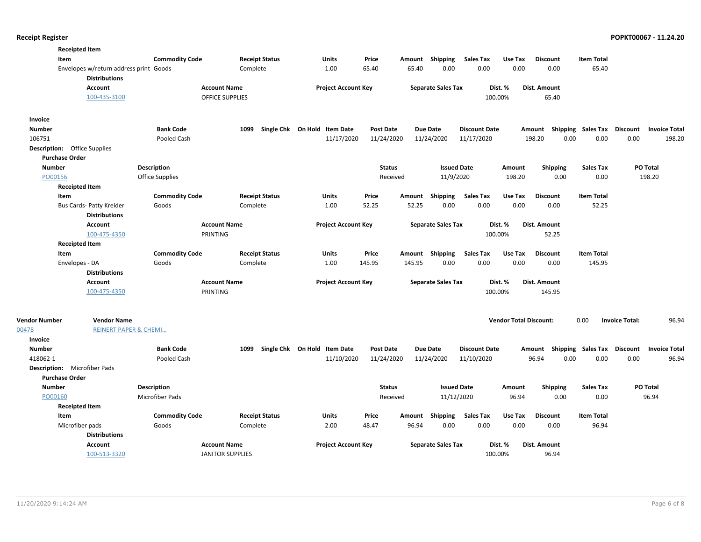| <b>Receipted Item</b>               |                                        |                        |                         |                       |                              |                  |          |                           |                      |                               |                                                  |                   |                       |                      |
|-------------------------------------|----------------------------------------|------------------------|-------------------------|-----------------------|------------------------------|------------------|----------|---------------------------|----------------------|-------------------------------|--------------------------------------------------|-------------------|-----------------------|----------------------|
| Item                                |                                        | <b>Commodity Code</b>  |                         | <b>Receipt Status</b> | Units                        | Price            |          | Amount Shipping           | <b>Sales Tax</b>     | Use Tax                       | <b>Discount</b>                                  | <b>Item Total</b> |                       |                      |
|                                     | Envelopes w/return address print Goods |                        | Complete                |                       | 1.00                         | 65.40            | 65.40    | 0.00                      | 0.00                 | 0.00                          | 0.00                                             | 65.40             |                       |                      |
|                                     | <b>Distributions</b>                   |                        |                         |                       |                              |                  |          |                           |                      |                               |                                                  |                   |                       |                      |
|                                     | <b>Account</b>                         |                        | <b>Account Name</b>     |                       | <b>Project Account Key</b>   |                  |          | <b>Separate Sales Tax</b> |                      | Dist. %                       | Dist. Amount                                     |                   |                       |                      |
|                                     | 100-435-3100                           |                        | <b>OFFICE SUPPLIES</b>  |                       |                              |                  |          |                           |                      | 100.00%                       | 65.40                                            |                   |                       |                      |
| Invoice                             |                                        |                        |                         |                       |                              |                  |          |                           |                      |                               |                                                  |                   |                       |                      |
| <b>Number</b>                       |                                        | <b>Bank Code</b>       | 1099                    |                       | Single Chk On Hold Item Date | <b>Post Date</b> |          | <b>Due Date</b>           | <b>Discount Date</b> |                               | Amount Shipping Sales Tax Discount               |                   |                       | <b>Invoice Total</b> |
| 106751                              |                                        | Pooled Cash            |                         |                       | 11/17/2020                   | 11/24/2020       |          | 11/24/2020                | 11/17/2020           |                               | 0.00<br>198.20                                   | 0.00              | 0.00                  | 198.20               |
| <b>Description:</b> Office Supplies |                                        |                        |                         |                       |                              |                  |          |                           |                      |                               |                                                  |                   |                       |                      |
| <b>Purchase Order</b>               |                                        |                        |                         |                       |                              |                  |          |                           |                      |                               |                                                  |                   |                       |                      |
| <b>Number</b>                       |                                        | <b>Description</b>     |                         |                       |                              | <b>Status</b>    |          | <b>Issued Date</b>        |                      | Amount                        | <b>Shipping</b>                                  | <b>Sales Tax</b>  |                       | PO Total             |
| PO00156                             |                                        | <b>Office Supplies</b> |                         |                       |                              |                  | Received | 11/9/2020                 |                      | 198.20                        | 0.00                                             | 0.00              |                       | 198.20               |
| <b>Receipted Item</b>               |                                        |                        |                         |                       |                              |                  |          |                           |                      |                               |                                                  |                   |                       |                      |
| Item                                |                                        | <b>Commodity Code</b>  |                         | <b>Receipt Status</b> | Units                        | Price            | Amount   | Shipping                  | <b>Sales Tax</b>     | Use Tax                       | <b>Discount</b>                                  | <b>Item Total</b> |                       |                      |
|                                     | Bus Cards- Patty Kreider               | Goods                  | Complete                |                       | 1.00                         | 52.25            | 52.25    | 0.00                      | 0.00                 | 0.00                          | 0.00                                             | 52.25             |                       |                      |
|                                     | <b>Distributions</b>                   |                        |                         |                       |                              |                  |          |                           |                      |                               |                                                  |                   |                       |                      |
|                                     | <b>Account</b>                         |                        | <b>Account Name</b>     |                       | <b>Project Account Key</b>   |                  |          | <b>Separate Sales Tax</b> |                      | Dist. %                       | Dist. Amount                                     |                   |                       |                      |
|                                     | 100-475-4350                           |                        | PRINTING                |                       |                              |                  |          |                           |                      | 100.00%                       | 52.25                                            |                   |                       |                      |
| <b>Receipted Item</b>               |                                        |                        |                         |                       |                              |                  |          |                           |                      |                               |                                                  |                   |                       |                      |
| Item                                |                                        | <b>Commodity Code</b>  |                         | <b>Receipt Status</b> | Units                        | Price            |          | Amount Shipping           | <b>Sales Tax</b>     | Use Tax                       | <b>Discount</b>                                  | <b>Item Total</b> |                       |                      |
| Envelopes - DA                      |                                        | Goods                  | Complete                |                       | 1.00                         | 145.95           | 145.95   | 0.00                      | 0.00                 | 0.00                          | 0.00                                             | 145.95            |                       |                      |
|                                     | <b>Distributions</b>                   |                        |                         |                       |                              |                  |          |                           |                      |                               |                                                  |                   |                       |                      |
|                                     | <b>Account</b>                         |                        | <b>Account Name</b>     |                       | <b>Project Account Key</b>   |                  |          | <b>Separate Sales Tax</b> |                      | Dist. %                       | Dist. Amount                                     |                   |                       |                      |
|                                     | 100-475-4350                           |                        | PRINTING                |                       |                              |                  |          |                           |                      | 100.00%                       | 145.95                                           |                   |                       |                      |
|                                     |                                        |                        |                         |                       |                              |                  |          |                           |                      |                               |                                                  |                   |                       |                      |
| <b>Vendor Number</b>                | <b>Vendor Name</b>                     |                        |                         |                       |                              |                  |          |                           |                      | <b>Vendor Total Discount:</b> |                                                  | 0.00              | <b>Invoice Total:</b> | 96.94                |
| 00478                               | <b>REINERT PAPER &amp; CHEMI</b>       |                        |                         |                       |                              |                  |          |                           |                      |                               |                                                  |                   |                       |                      |
| Invoice                             |                                        |                        |                         |                       |                              |                  |          |                           |                      |                               |                                                  |                   |                       |                      |
| <b>Number</b>                       |                                        | <b>Bank Code</b>       | 1099                    |                       | Single Chk On Hold Item Date | <b>Post Date</b> |          | Due Date                  | <b>Discount Date</b> |                               | Amount Shipping Sales Tax Discount Invoice Total |                   |                       |                      |
| 418062-1                            |                                        | Pooled Cash            |                         |                       | 11/10/2020                   | 11/24/2020       |          | 11/24/2020                | 11/10/2020           |                               | 96.94<br>0.00                                    | 0.00              | 0.00                  | 96.94                |
| Description: Microfiber Pads        |                                        |                        |                         |                       |                              |                  |          |                           |                      |                               |                                                  |                   |                       |                      |
| <b>Purchase Order</b>               |                                        |                        |                         |                       |                              |                  |          |                           |                      |                               |                                                  |                   |                       |                      |
| <b>Number</b>                       |                                        | <b>Description</b>     |                         |                       |                              | <b>Status</b>    |          | <b>Issued Date</b>        |                      | Amount                        | <b>Shipping</b>                                  | <b>Sales Tax</b>  |                       | PO Total             |
| PO00160                             |                                        | Microfiber Pads        |                         |                       |                              |                  | Received | 11/12/2020                |                      | 96.94                         | 0.00                                             | 0.00              |                       | 96.94                |
| <b>Receipted Item</b>               |                                        |                        |                         |                       |                              |                  |          |                           |                      |                               |                                                  |                   |                       |                      |
| Item                                |                                        | <b>Commodity Code</b>  |                         | <b>Receipt Status</b> | Units                        | Price            | Amount   | Shipping                  | <b>Sales Tax</b>     | Use Tax                       | <b>Discount</b>                                  | <b>Item Total</b> |                       |                      |
| Microfiber pads                     |                                        | Goods                  | Complete                |                       | 2.00                         | 48.47            | 96.94    | 0.00                      | 0.00                 | 0.00                          | 0.00                                             | 96.94             |                       |                      |
|                                     | <b>Distributions</b>                   |                        |                         |                       |                              |                  |          |                           |                      |                               |                                                  |                   |                       |                      |
|                                     | <b>Account</b>                         |                        | <b>Account Name</b>     |                       | <b>Project Account Key</b>   |                  |          | <b>Separate Sales Tax</b> |                      | Dist. %                       | Dist. Amount                                     |                   |                       |                      |
|                                     | 100-513-3320                           |                        | <b>JANITOR SUPPLIES</b> |                       |                              |                  |          |                           |                      | 100.00%                       | 96.94                                            |                   |                       |                      |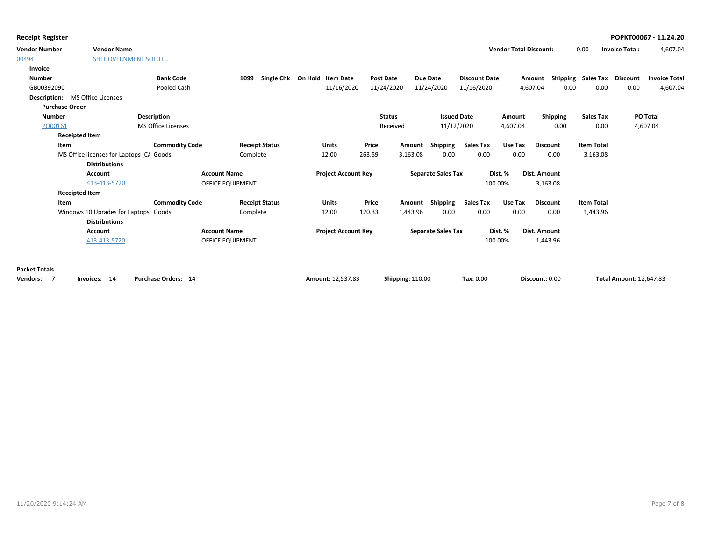|  |  | <b>Receipt Register</b> |
|--|--|-------------------------|
|--|--|-------------------------|

| <b>Vendor Number</b>                   | <b>Vendor Name</b>                       |                       |                         |                              |                            |        |                         |                 |                           |                      |          | <b>Vendor Total Discount:</b> |      | 0.00              | <b>Invoice Total:</b>          | 4,607.04             |
|----------------------------------------|------------------------------------------|-----------------------|-------------------------|------------------------------|----------------------------|--------|-------------------------|-----------------|---------------------------|----------------------|----------|-------------------------------|------|-------------------|--------------------------------|----------------------|
| 00494                                  | <b>SHI GOVERNMENT SOLUT</b>              |                       |                         |                              |                            |        |                         |                 |                           |                      |          |                               |      |                   |                                |                      |
| Invoice                                |                                          |                       |                         |                              |                            |        |                         |                 |                           |                      |          |                               |      |                   |                                |                      |
| <b>Number</b>                          |                                          | <b>Bank Code</b>      | 1099                    | Single Chk On Hold Item Date |                            |        | Post Date               | <b>Due Date</b> |                           | <b>Discount Date</b> |          | Amount                        |      |                   | Shipping Sales Tax Discount    | <b>Invoice Total</b> |
| GB00392090                             |                                          | Pooled Cash           |                         |                              | 11/16/2020                 |        | 11/24/2020              | 11/24/2020      |                           | 11/16/2020           |          | 4,607.04                      | 0.00 | 0.00              | 0.00                           | 4,607.04             |
| <b>Description:</b> MS Office Licenses |                                          |                       |                         |                              |                            |        |                         |                 |                           |                      |          |                               |      |                   |                                |                      |
| <b>Purchase Order</b>                  |                                          |                       |                         |                              |                            |        |                         |                 |                           |                      |          |                               |      |                   |                                |                      |
| <b>Number</b>                          |                                          | <b>Description</b>    |                         |                              |                            |        | <b>Status</b>           |                 | <b>Issued Date</b>        |                      | Amount   | <b>Shipping</b>               |      | <b>Sales Tax</b>  |                                | PO Total             |
| PO00161                                |                                          | MS Office Licenses    |                         |                              |                            |        | Received                |                 | 11/12/2020                |                      | 4,607.04 |                               | 0.00 | 0.00              |                                | 4,607.04             |
| <b>Receipted Item</b>                  |                                          |                       |                         |                              |                            |        |                         |                 |                           |                      |          |                               |      |                   |                                |                      |
| Item                                   |                                          | <b>Commodity Code</b> |                         | <b>Receipt Status</b>        | Units                      | Price  | Amount                  |                 | Shipping                  | Sales Tax            | Use Tax  | <b>Discount</b>               |      | <b>Item Total</b> |                                |                      |
|                                        | MS Office licenses for Laptops (CA Goods |                       | Complete                |                              | 12.00                      | 263.59 | 3,163.08                |                 | 0.00                      | 0.00                 | 0.00     | 0.00                          |      | 3,163.08          |                                |                      |
|                                        | <b>Distributions</b>                     |                       |                         |                              |                            |        |                         |                 |                           |                      |          |                               |      |                   |                                |                      |
|                                        | <b>Account</b>                           |                       | <b>Account Name</b>     |                              | <b>Project Account Key</b> |        |                         |                 | <b>Separate Sales Tax</b> |                      | Dist. %  | Dist. Amount                  |      |                   |                                |                      |
|                                        | 413-413-5720                             |                       | <b>OFFICE EQUIPMENT</b> |                              |                            |        |                         |                 |                           |                      | 100.00%  | 3,163.08                      |      |                   |                                |                      |
| <b>Receipted Item</b>                  |                                          |                       |                         |                              |                            |        |                         |                 |                           |                      |          |                               |      |                   |                                |                      |
| Item                                   |                                          | <b>Commodity Code</b> |                         | <b>Receipt Status</b>        | <b>Units</b>               | Price  | Amount                  |                 | Shipping                  | <b>Sales Tax</b>     | Use Tax  | <b>Discount</b>               |      | <b>Item Total</b> |                                |                      |
|                                        | Windows 10 Uprades for Laptops           | Goods                 | Complete                |                              | 12.00                      | 120.33 | 1,443.96                |                 | 0.00                      | 0.00                 | 0.00     | 0.00                          |      | 1,443.96          |                                |                      |
|                                        | <b>Distributions</b>                     |                       |                         |                              |                            |        |                         |                 |                           |                      |          |                               |      |                   |                                |                      |
|                                        | <b>Account</b>                           |                       | <b>Account Name</b>     |                              | <b>Project Account Key</b> |        |                         |                 | <b>Separate Sales Tax</b> |                      | Dist. %  | Dist. Amount                  |      |                   |                                |                      |
|                                        | 413-413-5720                             |                       | <b>OFFICE EQUIPMENT</b> |                              |                            |        |                         |                 |                           |                      | 100.00%  | 1,443.96                      |      |                   |                                |                      |
| <b>Packet Totals</b>                   |                                          |                       |                         |                              |                            |        |                         |                 |                           |                      |          |                               |      |                   |                                |                      |
| - 7                                    | Invoices: 14                             | Purchase Orders: 14   |                         |                              | Amount: 12,537.83          |        |                         |                 |                           | Tax: 0.00            |          | Discount: 0.00                |      |                   | <b>Total Amount: 12,647.83</b> |                      |
| <b>Vendors:</b>                        |                                          |                       |                         |                              |                            |        | <b>Shipping: 110.00</b> |                 |                           |                      |          |                               |      |                   |                                |                      |

### **Receipt Register POPKT00067 - 11.24.20**